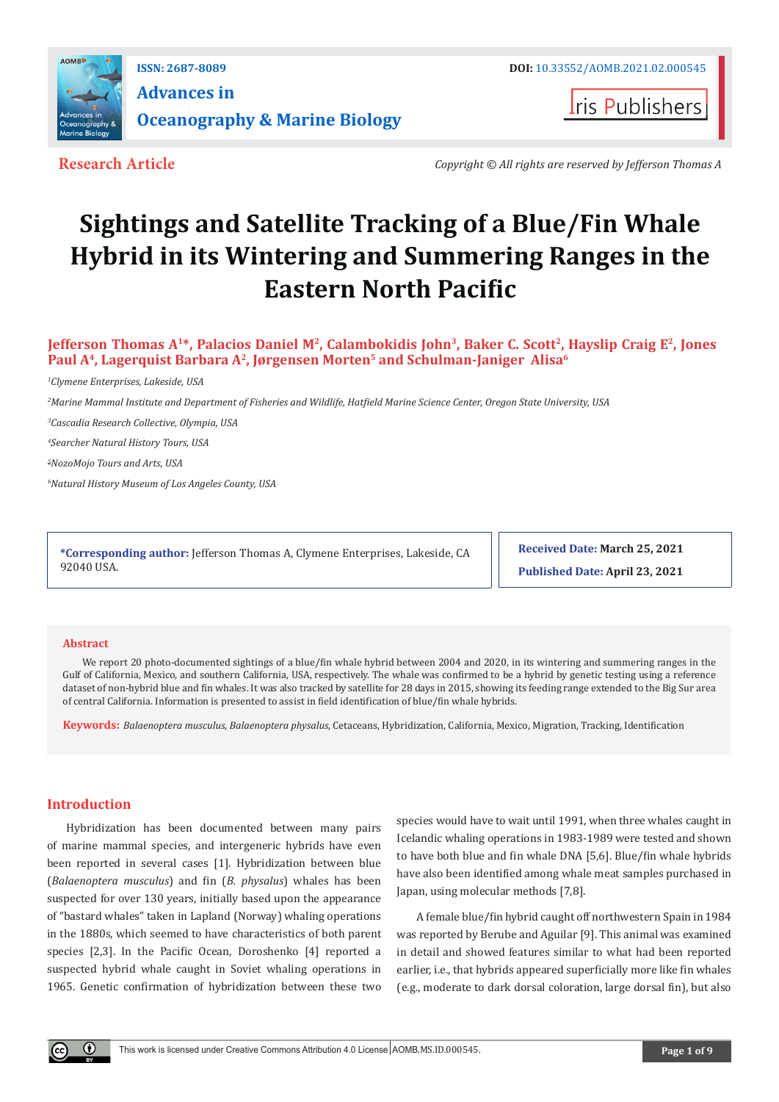

**Iris Publishers** 

**Research Article** *Copyright © All rights are reserved by Jefferson Thomas A*

# **Sightings and Satellite Tracking of a Blue/Fin Whale Hybrid in its Wintering and Summering Ranges in the Eastern North Pacific**

**Jefferson Thomas A<sup>1\*</sup>, Palacios Daniel M<sup>2</sup>, Calambokidis John<sup>3</sup>, Baker C. Scott<sup>2</sup>, Hayslip Craig E<sup>2</sup>, Jones Paul A4, Lagerquist Barbara A2, Jørgensen Morten5 and Schulman-Janiger Alisa6**

*1 Clymene Enterprises, Lakeside, USA*

*2 Marine Mammal Institute and Department of Fisheries and Wildlife, Hatfield Marine Science Center, Oregon State University, USA*

*3 Cascadia Research Collective, Olympia, USA* 

*4 Searcher Natural History Tours, USA*

*5 NozoMojo Tours and Arts, USA* 

*6 Natural History Museum of Los Angeles County, USA*

**\*Corresponding author:** Jefferson Thomas A, Clymene Enterprises, Lakeside, CA 92040 USA.

**Received Date: March 25, 2021**

**Published Date: April 23, 2021**

#### **Abstract**

We report 20 photo-documented sightings of a blue/fin whale hybrid between 2004 and 2020, in its wintering and summering ranges in the Gulf of California, Mexico, and southern California, USA, respectively. The whale was confirmed to be a hybrid by genetic testing using a reference dataset of non-hybrid blue and fin whales. It was also tracked by satellite for 28 days in 2015, showing its feeding range extended to the Big Sur area of central California. Information is presented to assist in field identification of blue/fin whale hybrids.

**Keywords:** *Balaenoptera musculus, Balaenoptera physalus*, Cetaceans, Hybridization, California, Mexico, Migration, Tracking, Identification

#### **Introduction**

Hybridization has been documented between many pairs of marine mammal species, and intergeneric hybrids have even been reported in several cases [1]. Hybridization between blue (*Balaenoptera musculus*) and fin (*B. physalus*) whales has been suspected for over 130 years, initially based upon the appearance of "bastard whales" taken in Lapland (Norway) whaling operations in the 1880s, which seemed to have characteristics of both parent species [2,3]. In the Pacific Ocean, Doroshenko [4] reported a suspected hybrid whale caught in Soviet whaling operations in 1965. Genetic confirmation of hybridization between these two

species would have to wait until 1991, when three whales caught in Icelandic whaling operations in 1983-1989 were tested and shown to have both blue and fin whale DNA [5,6]. Blue/fin whale hybrids have also been identified among whale meat samples purchased in Japan, using molecular methods [7,8].

A female blue/fin hybrid caught off northwestern Spain in 1984 was reported by Berube and Aguilar [9]. This animal was examined in detail and showed features similar to what had been reported earlier, i.e., that hybrids appeared superficially more like fin whales (e.g., moderate to dark dorsal coloration, large dorsal fin), but also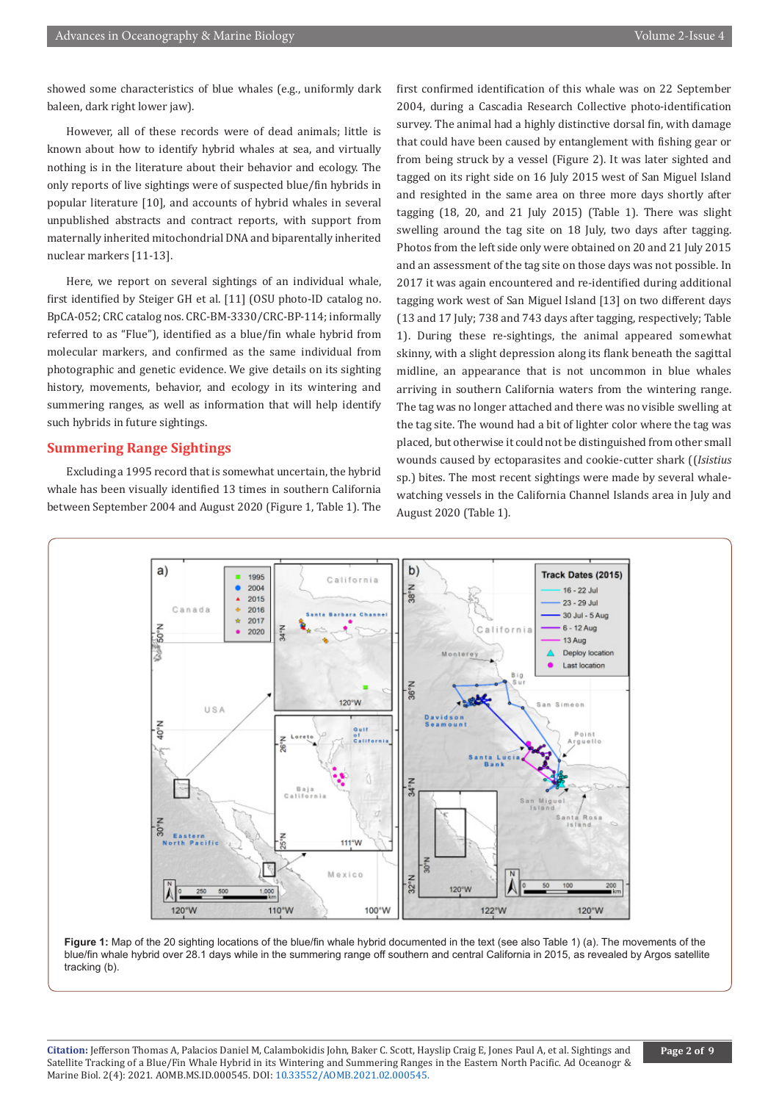showed some characteristics of blue whales (e.g., uniformly dark baleen, dark right lower jaw).

However, all of these records were of dead animals; little is known about how to identify hybrid whales at sea, and virtually nothing is in the literature about their behavior and ecology. The only reports of live sightings were of suspected blue/fin hybrids in popular literature [10], and accounts of hybrid whales in several unpublished abstracts and contract reports, with support from maternally inherited mitochondrial DNA and biparentally inherited nuclear markers [11-13].

Here, we report on several sightings of an individual whale, first identified by Steiger GH et al. [11] (OSU photo-ID catalog no. BpCA-052; CRC catalog nos. CRC-BM-3330/CRC-BP-114; informally referred to as "Flue"), identified as a blue/fin whale hybrid from molecular markers, and confirmed as the same individual from photographic and genetic evidence. We give details on its sighting history, movements, behavior, and ecology in its wintering and summering ranges, as well as information that will help identify such hybrids in future sightings.

#### **Summering Range Sightings**

Excluding a 1995 record that is somewhat uncertain, the hybrid whale has been visually identified 13 times in southern California between September 2004 and August 2020 (Figure 1, Table 1). The first confirmed identification of this whale was on 22 September 2004, during a Cascadia Research Collective photo-identification survey. The animal had a highly distinctive dorsal fin, with damage that could have been caused by entanglement with fishing gear or from being struck by a vessel (Figure 2). It was later sighted and tagged on its right side on 16 July 2015 west of San Miguel Island and resighted in the same area on three more days shortly after tagging (18, 20, and 21 July 2015) (Table 1). There was slight swelling around the tag site on 18 July, two days after tagging. Photos from the left side only were obtained on 20 and 21 July 2015 and an assessment of the tag site on those days was not possible. In 2017 it was again encountered and re-identified during additional tagging work west of San Miguel Island [13] on two different days (13 and 17 July; 738 and 743 days after tagging, respectively; Table 1). During these re-sightings, the animal appeared somewhat skinny, with a slight depression along its flank beneath the sagittal midline, an appearance that is not uncommon in blue whales arriving in southern California waters from the wintering range. The tag was no longer attached and there was no visible swelling at the tag site. The wound had a bit of lighter color where the tag was placed, but otherwise it could not be distinguished from other small wounds caused by ectoparasites and cookie-cutter shark ((*Isistius*  sp.) bites. The most recent sightings were made by several whalewatching vessels in the California Channel Islands area in July and August 2020 (Table 1).



**Figure 1:** Map of the 20 sighting locations of the blue/fin whale hybrid documented in the text (see also Table 1) (a). The movements of the blue/fin whale hybrid over 28.1 days while in the summering range off southern and central California in 2015, as revealed by Argos satellite tracking (b).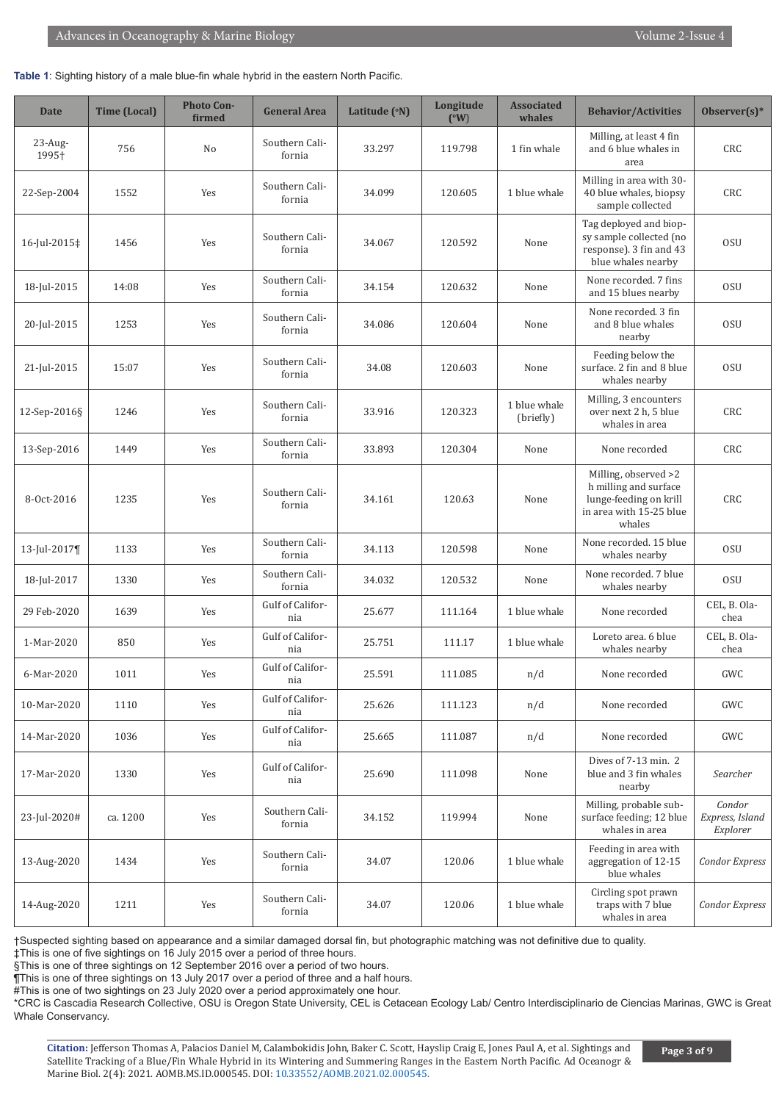#### **Table 1**: Sighting history of a male blue-fin whale hybrid in the eastern North Pacific.

| Date                | <b>Time (Local)</b> | <b>Photo Con-</b><br>firmed | <b>General Area</b>      | Latitude (°N) | Longitude<br>$(^{\circ}W)$ | <b>Associated</b><br>whales | <b>Behavior/Activities</b>                                                                                   | Observer $(s)^*$                      |
|---------------------|---------------------|-----------------------------|--------------------------|---------------|----------------------------|-----------------------------|--------------------------------------------------------------------------------------------------------------|---------------------------------------|
| $23$ -Aug-<br>1995+ | 756                 | No                          | Southern Cali-<br>fornia | 33.297        | 119.798                    | 1 fin whale                 | Milling, at least 4 fin<br>and 6 blue whales in<br>area                                                      | CRC                                   |
| 22-Sep-2004         | 1552                | Yes                         | Southern Cali-<br>fornia | 34.099        | 120.605                    | 1 blue whale                | Milling in area with 30-<br>40 blue whales, biopsy<br>sample collected                                       | CRC                                   |
| 16-Jul-2015‡        | 1456                | Yes                         | Southern Cali-<br>fornia | 34.067        | 120.592                    | None                        | Tag deployed and biop-<br>sy sample collected (no<br>response). 3 fin and 43<br>blue whales nearby           | <b>OSU</b>                            |
| 18-Jul-2015         | 14:08               | Yes                         | Southern Cali-<br>fornia | 34.154        | 120.632                    | None                        | None recorded. 7 fins<br>and 15 blues nearby                                                                 | <b>OSU</b>                            |
| 20-Jul-2015         | 1253                | Yes                         | Southern Cali-<br>fornia | 34.086        | 120.604                    | None                        | None recorded, 3 fin<br>and 8 blue whales<br>nearby                                                          | <b>OSU</b>                            |
| 21-Jul-2015         | 15:07               | Yes                         | Southern Cali-<br>fornia | 34.08         | 120.603                    | None                        | Feeding below the<br>surface. 2 fin and 8 blue<br>whales nearby                                              | <b>OSU</b>                            |
| 12-Sep-2016§        | 1246                | Yes                         | Southern Cali-<br>fornia | 33.916        | 120.323                    | 1 blue whale<br>(briefly)   | Milling, 3 encounters<br>over next 2 h, 5 blue<br>whales in area                                             | CRC                                   |
| 13-Sep-2016         | 1449                | Yes                         | Southern Cali-<br>fornia | 33.893        | 120.304                    | None                        | None recorded                                                                                                | CRC                                   |
| 8-Oct-2016          | 1235                | Yes                         | Southern Cali-<br>fornia | 34.161        | 120.63                     | None                        | Milling, observed >2<br>h milling and surface<br>lunge-feeding on krill<br>in area with 15-25 blue<br>whales | CRC                                   |
| 13-Jul-2017¶        | 1133                | Yes                         | Southern Cali-<br>fornia | 34.113        | 120.598                    | None                        | None recorded. 15 blue<br>whales nearby                                                                      | <b>OSU</b>                            |
| 18-Jul-2017         | 1330                | Yes                         | Southern Cali-<br>fornia | 34.032        | 120.532                    | None                        | None recorded. 7 blue<br>whales nearby                                                                       | 0SU                                   |
| 29 Feb-2020         | 1639                | Yes                         | Gulf of Califor-<br>nia  | 25.677        | 111.164                    | 1 blue whale                | None recorded                                                                                                | CEL, B. Ola-<br>chea                  |
| 1-Mar-2020          | 850                 | Yes                         | Gulf of Califor-<br>nia  | 25.751        | 111.17                     | 1 blue whale                | Loreto area. 6 blue<br>whales nearby                                                                         | CEL, B. Ola-<br>chea                  |
| 6-Mar-2020          | 1011                | Yes                         | Gulf of Califor-<br>nia  | 25.591        | 111.085                    | n/d                         | None recorded                                                                                                | GWC                                   |
| 10-Mar-2020         | 1110                | Yes                         | Gulf of Califor-<br>nia  | 25.626        | 111.123                    | n/d                         | None recorded                                                                                                | GWC                                   |
| 14-Mar-2020         | 1036                | Yes                         | Gulf of Califor-<br>nia  | 25.665        | 111.087                    | n/d                         | None recorded                                                                                                | GWC                                   |
| 17-Mar-2020         | 1330                | Yes                         | Gulf of Califor-<br>nia  | 25.690        | 111.098                    | None                        | Dives of 7-13 min. 2<br>blue and 3 fin whales<br>nearby                                                      | Searcher                              |
| 23-Jul-2020#        | ca. 1200            | Yes                         | Southern Cali-<br>fornia | 34.152        | 119.994                    | None                        | Milling, probable sub-<br>surface feeding; 12 blue<br>whales in area                                         | Condor<br>Express, Island<br>Explorer |
| 13-Aug-2020         | 1434                | Yes                         | Southern Cali-<br>fornia | 34.07         | 120.06                     | 1 blue whale                | Feeding in area with<br>aggregation of 12-15<br>blue whales                                                  | Condor Express                        |
| 14-Aug-2020         | 1211                | Yes                         | Southern Cali-<br>fornia | 34.07         | 120.06                     | 1 blue whale                | Circling spot prawn<br>traps with 7 blue<br>whales in area                                                   | Condor Express                        |

†Suspected sighting based on appearance and a similar damaged dorsal fin, but photographic matching was not definitive due to quality.

‡This is one of five sightings on 16 July 2015 over a period of three hours.

§This is one of three sightings on 12 September 2016 over a period of two hours.

¶This is one of three sightings on 13 July 2017 over a period of three and a half hours.

#This is one of two sightings on 23 July 2020 over a period approximately one hour.

\*CRC is Cascadia Research Collective, OSU is Oregon State University, CEL is Cetacean Ecology Lab/ Centro Interdisciplinario de Ciencias Marinas, GWC is Great Whale Conservancy.

**Citation:** Jefferson Thomas A, Palacios Daniel M, Calambokidis John, Baker C. Scott, Hayslip Craig E, Jones Paul A, et al. Sightings and Satellite Tracking of a Blue/Fin Whale Hybrid in its Wintering and Summering Ranges in the Eastern North Pacific. Ad Oceanogr & Marine Biol. 2(4): 2021. AOMB.MS.ID.000545. DOI: [10.33552/AOMB.2021.02.000545](http://dx.doi.org/10.33552/AOMB.2021.02.000545\).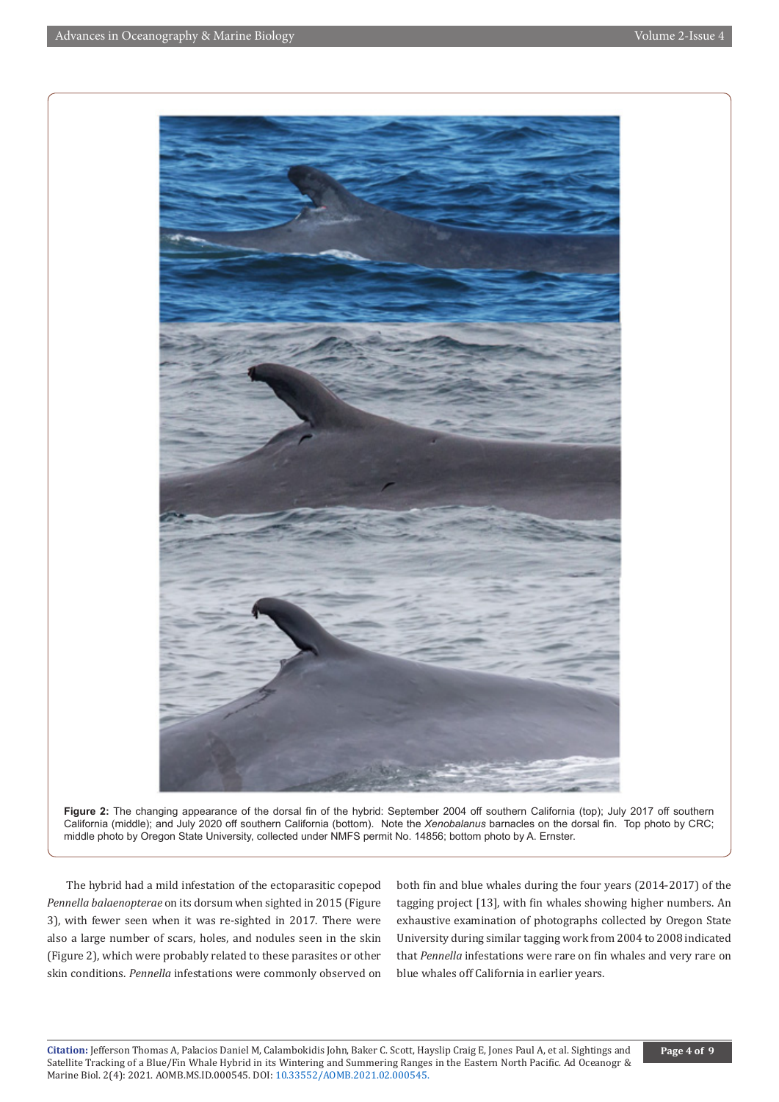

Figure 2: The changing appearance of the dorsal fin of the hybrid: September 2004 off southern California (top); July 2017 off southern California (middle); and July 2020 off southern California (bottom). Note the *Xenobalanus* barnacles on the dorsal fin. Top photo by CRC; middle photo by Oregon State University, collected under NMFS permit No. 14856; bottom photo by A. Ernster.

The hybrid had a mild infestation of the ectoparasitic copepod *Pennella balaenopterae* on its dorsum when sighted in 2015 (Figure 3), with fewer seen when it was re-sighted in 2017. There were also a large number of scars, holes, and nodules seen in the skin (Figure 2), which were probably related to these parasites or other skin conditions. *Pennella* infestations were commonly observed on

both fin and blue whales during the four years (2014-2017) of the tagging project [13], with fin whales showing higher numbers. An exhaustive examination of photographs collected by Oregon State University during similar tagging work from 2004 to 2008 indicated that *Pennella* infestations were rare on fin whales and very rare on blue whales off California in earlier years.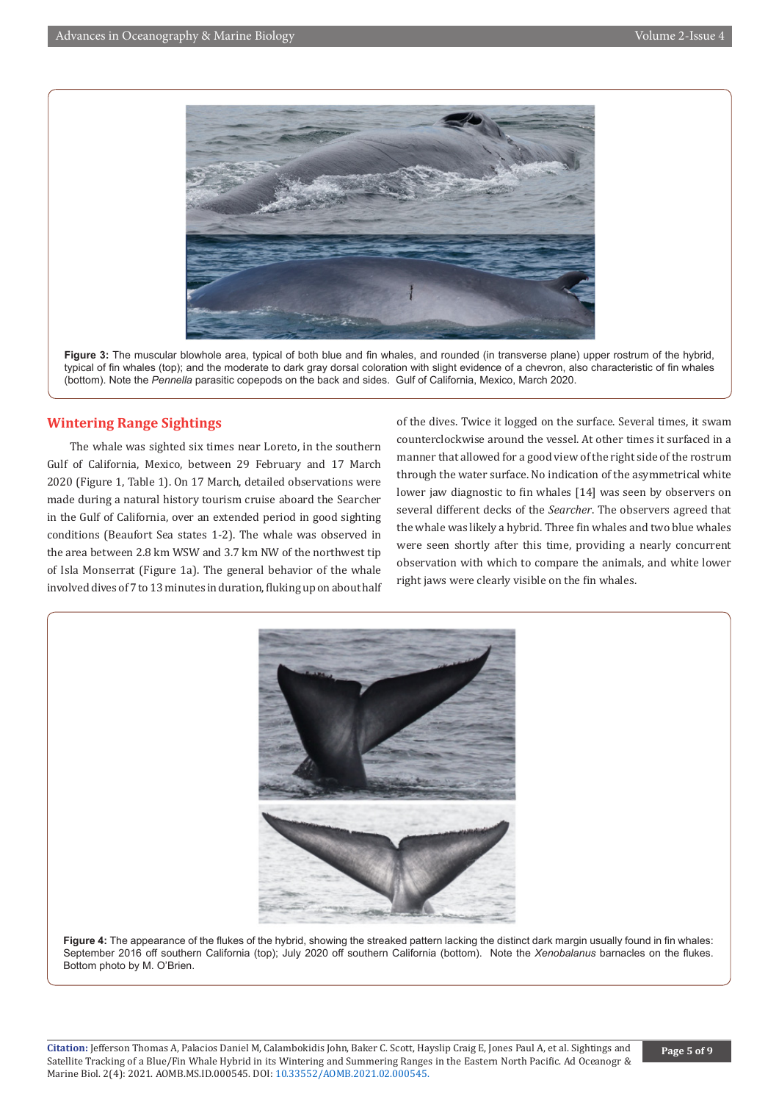

**Figure 3:** The muscular blowhole area, typical of both blue and fin whales, and rounded (in transverse plane) upper rostrum of the hybrid, typical of fin whales (top); and the moderate to dark gray dorsal coloration with slight evidence of a chevron, also characteristic of fin whales (bottom). Note the *Pennella* parasitic copepods on the back and sides. Gulf of California, Mexico, March 2020.

# **Wintering Range Sightings**

 The whale was sighted six times near Loreto, in the southern Gulf of California, Mexico, between 29 February and 17 March 2020 (Figure 1, Table 1). On 17 March, detailed observations were made during a natural history tourism cruise aboard the Searcher in the Gulf of California, over an extended period in good sighting conditions (Beaufort Sea states 1-2). The whale was observed in the area between 2.8 km WSW and 3.7 km NW of the northwest tip of Isla Monserrat (Figure 1a). The general behavior of the whale involved dives of 7 to 13 minutes in duration, fluking up on about half

of the dives. Twice it logged on the surface. Several times, it swam counterclockwise around the vessel. At other times it surfaced in a manner that allowed for a good view of the right side of the rostrum through the water surface. No indication of the asymmetrical white lower jaw diagnostic to fin whales [14] was seen by observers on several different decks of the *Searcher*. The observers agreed that the whale was likely a hybrid. Three fin whales and two blue whales were seen shortly after this time, providing a nearly concurrent observation with which to compare the animals, and white lower right jaws were clearly visible on the fin whales.



**Figure 4:** The appearance of the flukes of the hybrid, showing the streaked pattern lacking the distinct dark margin usually found in fin whales: September 2016 off southern California (top); July 2020 off southern California (bottom). Note the *Xenobalanus* barnacles on the flukes. Bottom photo by M. O'Brien.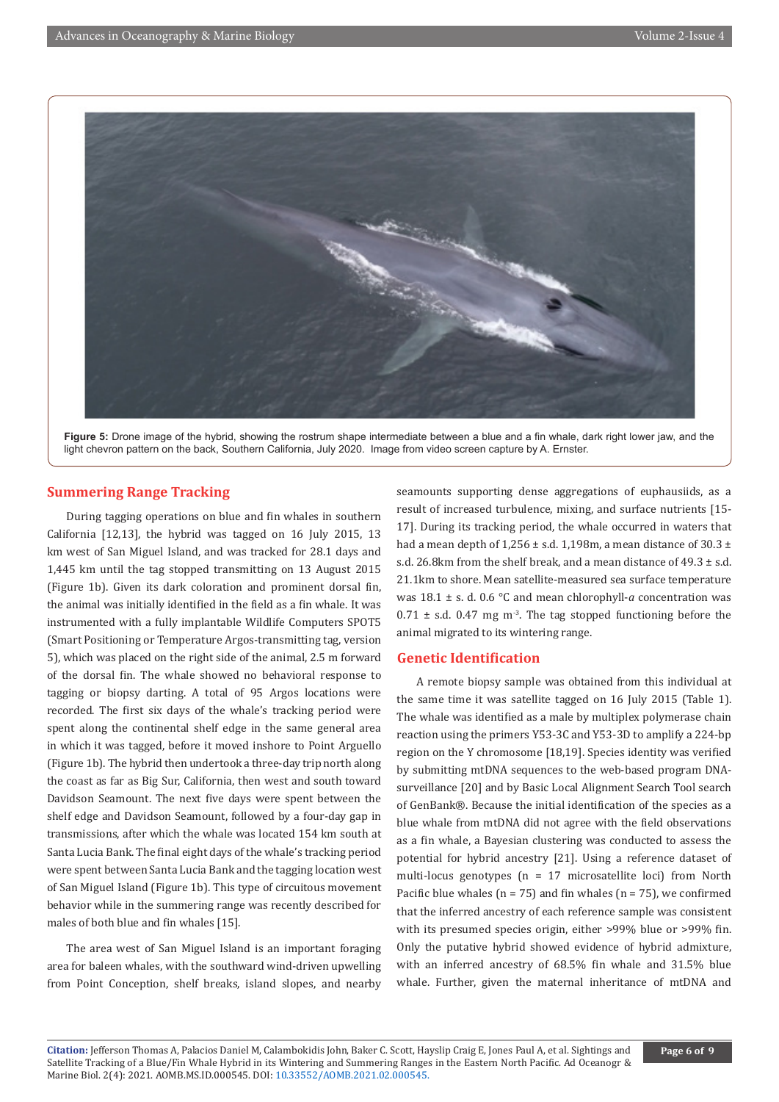

**Figure 5:** Drone image of the hybrid, showing the rostrum shape intermediate between a blue and a fin whale, dark right lower jaw, and the light chevron pattern on the back, Southern California, July 2020. Image from video screen capture by A. Ernster.

# **Summering Range Tracking**

During tagging operations on blue and fin whales in southern California [12,13], the hybrid was tagged on 16 July 2015, 13 km west of San Miguel Island, and was tracked for 28.1 days and 1,445 km until the tag stopped transmitting on 13 August 2015 (Figure 1b). Given its dark coloration and prominent dorsal fin, the animal was initially identified in the field as a fin whale. It was instrumented with a fully implantable Wildlife Computers SPOT5 (Smart Positioning or Temperature Argos-transmitting tag, version 5), which was placed on the right side of the animal, 2.5 m forward of the dorsal fin. The whale showed no behavioral response to tagging or biopsy darting. A total of 95 Argos locations were recorded. The first six days of the whale's tracking period were spent along the continental shelf edge in the same general area in which it was tagged, before it moved inshore to Point Arguello (Figure 1b). The hybrid then undertook a three-day trip north along the coast as far as Big Sur, California, then west and south toward Davidson Seamount. The next five days were spent between the shelf edge and Davidson Seamount, followed by a four-day gap in transmissions, after which the whale was located 154 km south at Santa Lucia Bank. The final eight days of the whale's tracking period were spent between Santa Lucia Bank and the tagging location west of San Miguel Island (Figure 1b). This type of circuitous movement behavior while in the summering range was recently described for males of both blue and fin whales [15].

The area west of San Miguel Island is an important foraging area for baleen whales, with the southward wind-driven upwelling from Point Conception, shelf breaks, island slopes, and nearby

seamounts supporting dense aggregations of euphausiids, as a result of increased turbulence, mixing, and surface nutrients [15- 17]. During its tracking period, the whale occurred in waters that had a mean depth of  $1,256 \pm$  s.d.  $1,198$ m, a mean distance of  $30.3 \pm$ s.d. 26.8km from the shelf break, and a mean distance of  $49.3 \pm$  s.d. 21.1km to shore. Mean satellite-measured sea surface temperature was 18.1 ± s. d. 0.6 °C and mean chlorophyll-*a* concentration was  $0.71 \pm$  s.d. 0.47 mg m<sup>-3</sup>. The tag stopped functioning before the animal migrated to its wintering range.

## **Genetic Identification**

A remote biopsy sample was obtained from this individual at the same time it was satellite tagged on 16 July 2015 (Table 1). The whale was identified as a male by multiplex polymerase chain reaction using the primers Y53-3C and Y53-3D to amplify a 224-bp region on the Y chromosome [18,19]. Species identity was verified by submitting mtDNA sequences to the web-based program DNAsurveillance [20] and by Basic Local Alignment Search Tool search of GenBank®. Because the initial identification of the species as a blue whale from mtDNA did not agree with the field observations as a fin whale, a Bayesian clustering was conducted to assess the potential for hybrid ancestry [21]. Using a reference dataset of multi-locus genotypes (n = 17 microsatellite loci) from North Pacific blue whales ( $n = 75$ ) and fin whales ( $n = 75$ ), we confirmed that the inferred ancestry of each reference sample was consistent with its presumed species origin, either >99% blue or >99% fin. Only the putative hybrid showed evidence of hybrid admixture, with an inferred ancestry of 68.5% fin whale and 31.5% blue whale. Further, given the maternal inheritance of mtDNA and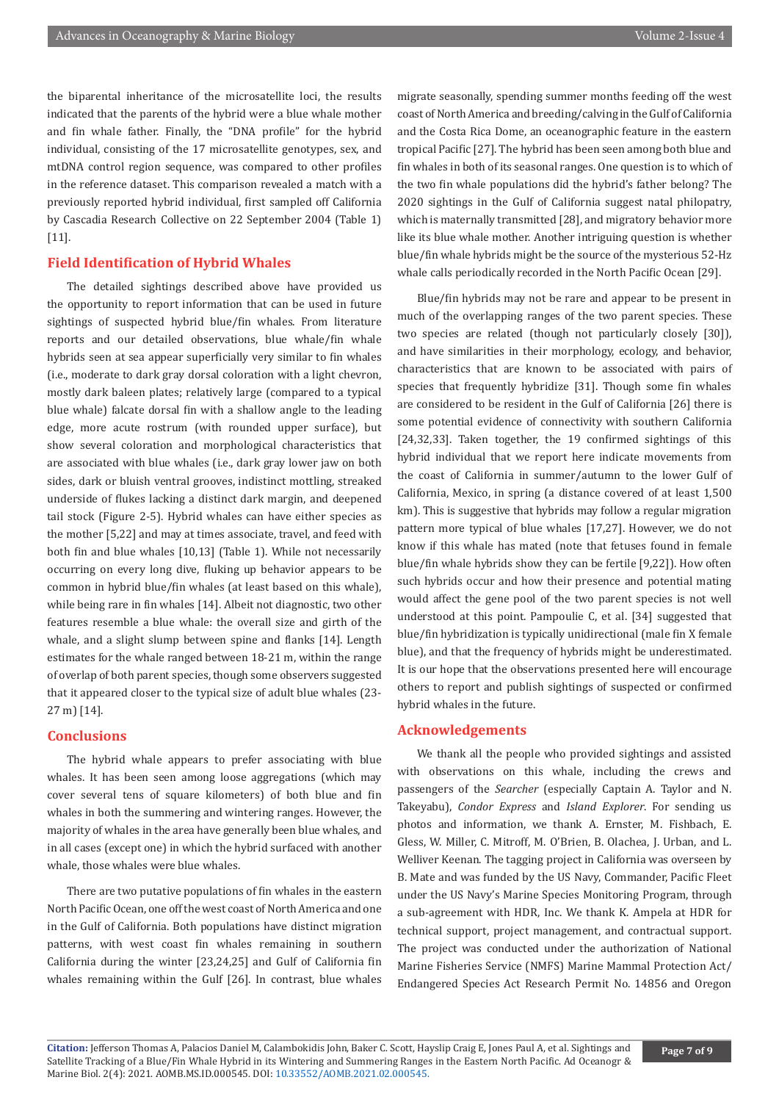the biparental inheritance of the microsatellite loci, the results indicated that the parents of the hybrid were a blue whale mother and fin whale father. Finally, the "DNA profile" for the hybrid individual, consisting of the 17 microsatellite genotypes, sex, and mtDNA control region sequence, was compared to other profiles in the reference dataset. This comparison revealed a match with a previously reported hybrid individual, first sampled off California by Cascadia Research Collective on 22 September 2004 (Table 1) [11].

# **Field Identification of Hybrid Whales**

The detailed sightings described above have provided us the opportunity to report information that can be used in future sightings of suspected hybrid blue/fin whales. From literature reports and our detailed observations, blue whale/fin whale hybrids seen at sea appear superficially very similar to fin whales (i.e., moderate to dark gray dorsal coloration with a light chevron, mostly dark baleen plates; relatively large (compared to a typical blue whale) falcate dorsal fin with a shallow angle to the leading edge, more acute rostrum (with rounded upper surface), but show several coloration and morphological characteristics that are associated with blue whales (i.e., dark gray lower jaw on both sides, dark or bluish ventral grooves, indistinct mottling, streaked underside of flukes lacking a distinct dark margin, and deepened tail stock (Figure 2-5). Hybrid whales can have either species as the mother [5,22] and may at times associate, travel, and feed with both fin and blue whales [10,13] (Table 1). While not necessarily occurring on every long dive, fluking up behavior appears to be common in hybrid blue/fin whales (at least based on this whale), while being rare in fin whales [14]. Albeit not diagnostic, two other features resemble a blue whale: the overall size and girth of the whale, and a slight slump between spine and flanks [14]. Length estimates for the whale ranged between 18-21 m, within the range of overlap of both parent species, though some observers suggested that it appeared closer to the typical size of adult blue whales (23- 27 m) [14].

## **Conclusions**

The hybrid whale appears to prefer associating with blue whales. It has been seen among loose aggregations (which may cover several tens of square kilometers) of both blue and fin whales in both the summering and wintering ranges. However, the majority of whales in the area have generally been blue whales, and in all cases (except one) in which the hybrid surfaced with another whale, those whales were blue whales.

There are two putative populations of fin whales in the eastern North Pacific Ocean, one off the west coast of North America and one in the Gulf of California. Both populations have distinct migration patterns, with west coast fin whales remaining in southern California during the winter [23,24,25] and Gulf of California fin whales remaining within the Gulf [26]. In contrast, blue whales

migrate seasonally, spending summer months feeding off the west coast of North America and breeding/calving in the Gulf of California and the Costa Rica Dome, an oceanographic feature in the eastern tropical Pacific [27]. The hybrid has been seen among both blue and fin whales in both of its seasonal ranges. One question is to which of the two fin whale populations did the hybrid's father belong? The 2020 sightings in the Gulf of California suggest natal philopatry, which is maternally transmitted [28], and migratory behavior more like its blue whale mother. Another intriguing question is whether blue/fin whale hybrids might be the source of the mysterious 52-Hz whale calls periodically recorded in the North Pacific Ocean [29].

Blue/fin hybrids may not be rare and appear to be present in much of the overlapping ranges of the two parent species. These two species are related (though not particularly closely [30]), and have similarities in their morphology, ecology, and behavior, characteristics that are known to be associated with pairs of species that frequently hybridize [31]. Though some fin whales are considered to be resident in the Gulf of California [26] there is some potential evidence of connectivity with southern California [24,32,33]. Taken together, the 19 confirmed sightings of this hybrid individual that we report here indicate movements from the coast of California in summer/autumn to the lower Gulf of California, Mexico, in spring (a distance covered of at least 1,500 km). This is suggestive that hybrids may follow a regular migration pattern more typical of blue whales [17,27]. However, we do not know if this whale has mated (note that fetuses found in female blue/fin whale hybrids show they can be fertile [9,22]). How often such hybrids occur and how their presence and potential mating would affect the gene pool of the two parent species is not well understood at this point. Pampoulie C, et al. [34] suggested that blue/fin hybridization is typically unidirectional (male fin X female blue), and that the frequency of hybrids might be underestimated. It is our hope that the observations presented here will encourage others to report and publish sightings of suspected or confirmed hybrid whales in the future.

### **Acknowledgements**

We thank all the people who provided sightings and assisted with observations on this whale, including the crews and passengers of the *Searcher* (especially Captain A. Taylor and N. Takeyabu), *Condor Express* and *Island Explorer*. For sending us photos and information, we thank A. Ernster, M. Fishbach, E. Gless, W. Miller, C. Mitroff, M. O'Brien, B. Olachea, J. Urban, and L. Welliver Keenan. The tagging project in California was overseen by B. Mate and was funded by the US Navy, Commander, Pacific Fleet under the US Navy's Marine Species Monitoring Program, through a sub-agreement with HDR, Inc. We thank K. Ampela at HDR for technical support, project management, and contractual support. The project was conducted under the authorization of National Marine Fisheries Service (NMFS) Marine Mammal Protection Act/ Endangered Species Act Research Permit No. 14856 and Oregon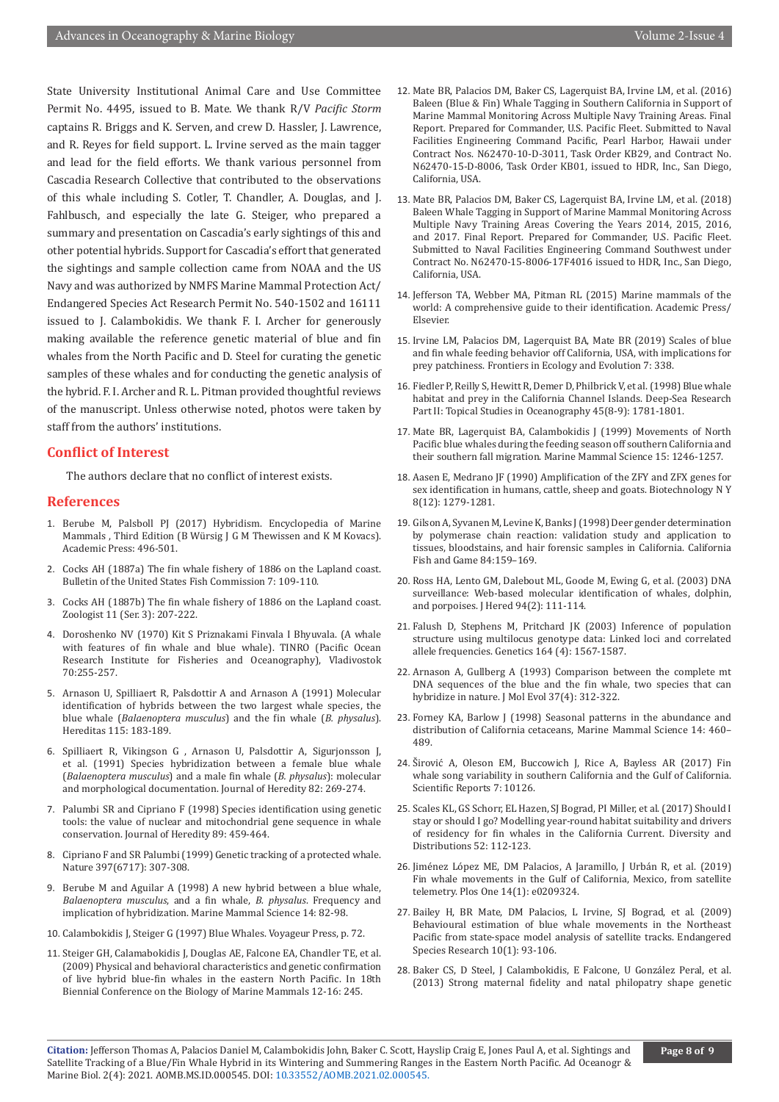State University Institutional Animal Care and Use Committee Permit No. 4495, issued to B. Mate. We thank R/V *Pacific Storm* captains R. Briggs and K. Serven, and crew D. Hassler, J. Lawrence, and R. Reyes for field support. L. Irvine served as the main tagger and lead for the field efforts. We thank various personnel from Cascadia Research Collective that contributed to the observations of this whale including S. Cotler, T. Chandler, A. Douglas, and J. Fahlbusch, and especially the late G. Steiger, who prepared a summary and presentation on Cascadia's early sightings of this and other potential hybrids. Support for Cascadia's effort that generated the sightings and sample collection came from NOAA and the US Navy and was authorized by NMFS Marine Mammal Protection Act/ Endangered Species Act Research Permit No. 540-1502 and 16111 issued to J. Calambokidis. We thank F. I. Archer for generously making available the reference genetic material of blue and fin whales from the North Pacific and D. Steel for curating the genetic samples of these whales and for conducting the genetic analysis of the hybrid. F. I. Archer and R. L. Pitman provided thoughtful reviews of the manuscript. Unless otherwise noted, photos were taken by staff from the authors' institutions.

## **Conflict of Interest**

The authors declare that no conflict of interest exists.

#### **References**

- 1. Berube M, Palsboll PJ (2017) Hybridism. Encyclopedia of Marine Mammals , Third Edition (B Würsig J G M Thewissen and K M Kovacs). Academic Press: 496-501.
- 2. Cocks AH (1887a) The fin whale fishery of 1886 on the Lapland coast. Bulletin of the United States Fish Commission 7: 109-110.
- 3. Cocks AH (1887b) The fin whale fishery of 1886 on the Lapland coast. Zoologist 11 (Ser. 3): 207-222.
- 4. Doroshenko NV (1970) Kit S Priznakami Finvala I Bhyuvala. (A whale with features of fin whale and blue whale). TINRO (Pacific Ocean Research Institute for Fisheries and Oceanography), Vladivostok 70:255-257.
- 5. Arnason U, Spilliaert R, Palsdottir A and Arnason A (1991) Molecular identification of hybrids between the two largest whale species, the blue whale (*Balaenoptera musculus*) and the fin whale (*B. physalus*). Hereditas 115: 183-189.
- 6. Spilliaert R, Vikingson G , Arnason U, Palsdottir A, Sigurjonsson J, et al. (1991) Species hybridization between a female blue whale (*Balaenoptera musculus*) and a male fin whale (*B. physalus*): molecular and morphological documentation. Journal of Heredity 82: 269-274.
- 7. Palumbi SR and Cipriano F (1998) Species identification using genetic tools: the value of nuclear and mitochondrial gene sequence in whale conservation. Journal of Heredity 89: 459-464.
- 8. Cipriano F and SR Palumbi (1999) Genetic tracking of a protected whale. Nature 397(6717): 307-308.
- 9. Berube M and Aguilar A (1998) A new hybrid between a blue whale, *Balaenoptera musculus*, and a fin whale, *B. physalus*. Frequency and implication of hybridization. Marine Mammal Science 14: 82-98.
- 10. Calambokidis J, Steiger G (1997) Blue Whales. Voyageur Press, p. 72.
- 11. Steiger GH, Calamabokidis J, Douglas AE, Falcone EA, Chandler TE, et al. (2009) Physical and behavioral characteristics and genetic confirmation of live hybrid blue-fin whales in the eastern North Pacific. In 18th Biennial Conference on the Biology of Marine Mammals 12-16: 245.
- 12. Mate BR, Palacios DM, Baker CS, Lagerquist BA, Irvine LM, et al. (2016) Baleen (Blue & Fin) Whale Tagging in Southern California in Support of Marine Mammal Monitoring Across Multiple Navy Training Areas. Final Report. Prepared for Commander, U.S. Pacific Fleet. Submitted to Naval Facilities Engineering Command Pacific, Pearl Harbor, Hawaii under Contract Nos. N62470-10-D-3011, Task Order KB29, and Contract No. N62470-15-D-8006, Task Order KB01, issued to HDR, Inc., San Diego, California, USA.
- 13. Mate BR, Palacios DM, Baker CS, Lagerquist BA, Irvine LM, et al. (2018) Baleen Whale Tagging in Support of Marine Mammal Monitoring Across Multiple Navy Training Areas Covering the Years 2014, 2015, 2016, and 2017. Final Report. Prepared for Commander, U.S. Pacific Fleet. Submitted to Naval Facilities Engineering Command Southwest under Contract No. N62470-15-8006-17F4016 issued to HDR, Inc., San Diego, California, USA.
- 14. Jefferson TA, Webber MA, Pitman RL (2015) Marine mammals of the world: A comprehensive guide to their identification. Academic Press/ Elsevier.
- 15. Irvine LM, Palacios DM, Lagerquist BA, Mate BR (2019) Scales of blue and fin whale feeding behavior off California, USA, with implications for prey patchiness. Frontiers in Ecology and Evolution 7: 338.
- 16. Fiedler P, Reilly S, Hewitt R, Demer D, Philbrick V, et al. (1998) Blue whale habitat and prey in the California Channel Islands. Deep-Sea Research Part II: Topical Studies in Oceanography 45(8-9): 1781-1801.
- 17. Mate BR, Lagerquist BA, Calambokidis J (1999) Movements of North Pacific blue whales during the feeding season off southern California and their southern fall migration. Marine Mammal Science 15: 1246-1257.
- 18. [Aasen E, Medrano JF \(1990\) Amplification of the ZFY and ZFX genes for](mailto:https://pubmed.ncbi.nlm.nih.gov/1369448/) [sex identification in humans, cattle, sheep and goats. Biotechnology N Y](mailto:https://pubmed.ncbi.nlm.nih.gov/1369448/) [8\(12\): 1279-1281.](mailto:https://pubmed.ncbi.nlm.nih.gov/1369448/)
- 19. Gilson A, Syvanen M, Levine K, Banks J (1998) Deer gender determination by polymerase chain reaction: validation study and application to tissues, bloodstains, and hair forensic samples in California. California Fish and Game 84:159–169.
- 20. [Ross HA, Lento GM, Dalebout ML, Goode M, Ewing G, et al. \(2003\) DNA](mailto:https://pubmed.ncbi.nlm.nih.gov/12721222/) [surveillance: Web-based molecular identification of whales, dolphin,](mailto:https://pubmed.ncbi.nlm.nih.gov/12721222/) [and porpoises. J Hered 94\(2\): 111-114.](mailto:https://pubmed.ncbi.nlm.nih.gov/12721222/)
- 21. [Falush D, Stephens M, Pritchard JK \(2003\) Inference of population](mailto:https://pubmed.ncbi.nlm.nih.gov/12930761/) [structure using multilocus genotype data: Linked loci and correlated](mailto:https://pubmed.ncbi.nlm.nih.gov/12930761/) [allele frequencies. Genetics 164 \(4\): 1567-1587.](mailto:https://pubmed.ncbi.nlm.nih.gov/12930761/)
- 22. [Arnason A, Gullberg A \(1993\) Comparison between the complete mt](mailto:https://pubmed.ncbi.nlm.nih.gov/8308901/) [DNA sequences of the blue and the fin whale, two species that can](mailto:https://pubmed.ncbi.nlm.nih.gov/8308901/) [hybridize in nature. J Mol Evol 37\(4\): 312-322.](mailto:https://pubmed.ncbi.nlm.nih.gov/8308901/)
- 23. Forney KA, Barlow J (1998) Seasonal patterns in the abundance and distribution of California cetaceans, Marine Mammal Science 14: 460– 489.
- 24. Širović A, Oleson EM, Buccowich J, Rice A, Bayless AR (2017) Fin whale song variability in southern California and the Gulf of California. Scientific Reports 7: 10126.
- 25. Scales KL, GS Schorr, EL Hazen, SJ Bograd, PI Miller, et al. (2017) Should I stay or should I go? Modelling year-round habitat suitability and drivers of residency for fin whales in the California Current. Diversity and Distributions 52: 112-123.
- 26. [Jiménez López ME, DM Palacios, A Jaramillo, J Urbán R, et al. \(2019\)](mailto:https://pubmed.ncbi.nlm.nih.gov/30629597/) [Fin whale movements in the Gulf of California, Mexico, from satellite](mailto:https://pubmed.ncbi.nlm.nih.gov/30629597/) [telemetry. Plos One 14\(1\): e0209324.](mailto:https://pubmed.ncbi.nlm.nih.gov/30629597/)
- 27. Bailey H, BR Mate, DM Palacios, L Irvine, SJ Bograd, et al. (2009) Behavioural estimation of blue whale movements in the Northeast Pacific from state-space model analysis of satellite tracks. Endangered Species Research 10(1): 93-106.
- 28. Baker CS, D Steel, J Calambokidis, E Falcone, U González Peral, et al. (2013) Strong maternal fidelity and natal philopatry shape genetic